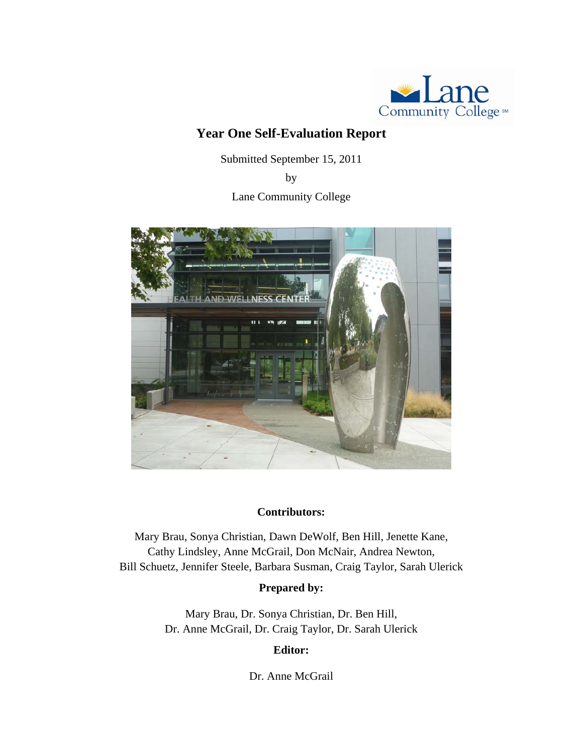

## **Year One Self-Evaluation Report**

Submitted September 15, 2011

by

Lane Community College



#### **Contributors:**

Mary Brau, Sonya Christian, Dawn DeWolf, Ben Hill, Jenette Kane, Cathy Lindsley, Anne McGrail, Don McNair, Andrea Newton, Bill Schuetz, Jennifer Steele, Barbara Susman, Craig Taylor, Sarah Ulerick

## **Prepared by:**

Mary Brau, Dr. Sonya Christian, Dr. Ben Hill, Dr. Anne McGrail, Dr. Craig Taylor, Dr. Sarah Ulerick

## **Editor:**

Dr. Anne McGrail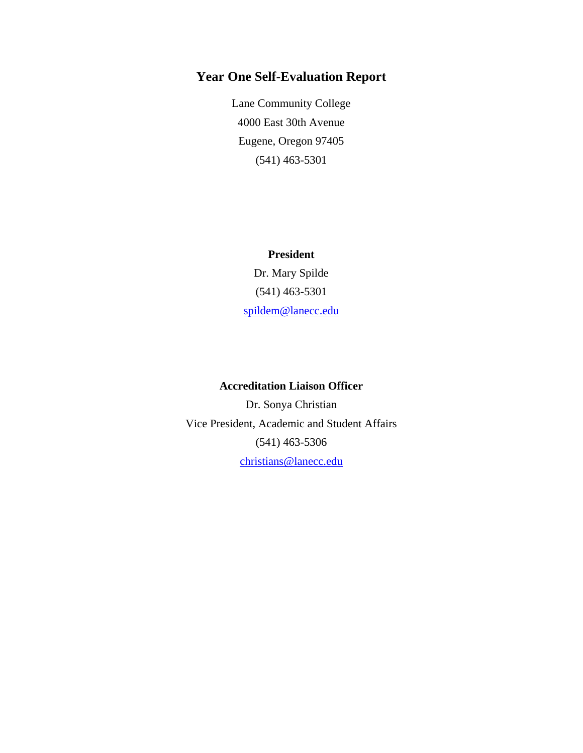## **Year One Self-Evaluation Report**

Lane Community College 4000 East 30th Avenue Eugene, Oregon 97405 (541) 463-5301

**President** Dr. Mary Spilde (541) 463-5301 [spildem@lanecc.edu](mailto:spildem@lanecc.edu)

#### **Accreditation Liaison Officer**

Dr. Sonya Christian Vice President, Academic and Student Affairs (541) 463-5306 [christians@lanecc.edu](mailto:christians@lanecc.edu)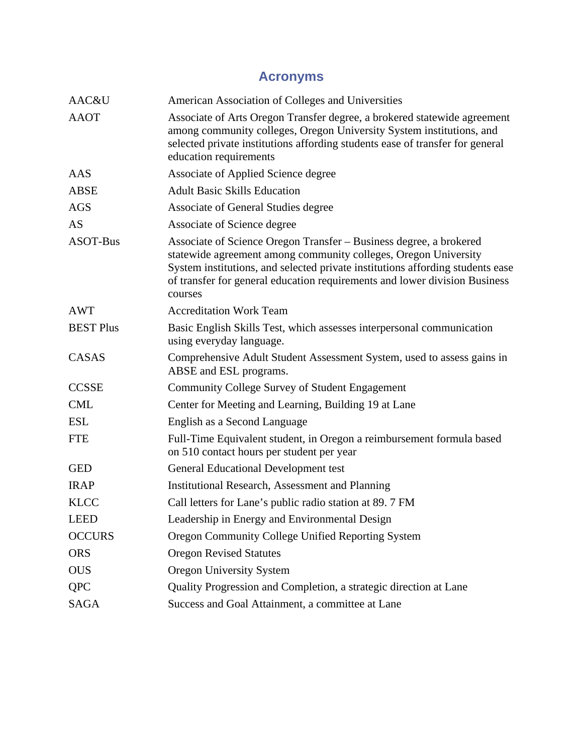# **Acronyms**

| AAC&U            | American Association of Colleges and Universities                                                                                                                                                                                                                                                                |
|------------------|------------------------------------------------------------------------------------------------------------------------------------------------------------------------------------------------------------------------------------------------------------------------------------------------------------------|
| <b>AAOT</b>      | Associate of Arts Oregon Transfer degree, a brokered statewide agreement<br>among community colleges, Oregon University System institutions, and<br>selected private institutions affording students ease of transfer for general<br>education requirements                                                      |
| AAS              | Associate of Applied Science degree                                                                                                                                                                                                                                                                              |
| <b>ABSE</b>      | <b>Adult Basic Skills Education</b>                                                                                                                                                                                                                                                                              |
| <b>AGS</b>       | Associate of General Studies degree                                                                                                                                                                                                                                                                              |
| AS               | Associate of Science degree                                                                                                                                                                                                                                                                                      |
| ASOT-Bus         | Associate of Science Oregon Transfer - Business degree, a brokered<br>statewide agreement among community colleges, Oregon University<br>System institutions, and selected private institutions affording students ease<br>of transfer for general education requirements and lower division Business<br>courses |
| <b>AWT</b>       | <b>Accreditation Work Team</b>                                                                                                                                                                                                                                                                                   |
| <b>BEST Plus</b> | Basic English Skills Test, which assesses interpersonal communication<br>using everyday language.                                                                                                                                                                                                                |
| CASAS            | Comprehensive Adult Student Assessment System, used to assess gains in<br>ABSE and ESL programs.                                                                                                                                                                                                                 |
| <b>CCSSE</b>     | Community College Survey of Student Engagement                                                                                                                                                                                                                                                                   |
| <b>CML</b>       | Center for Meeting and Learning, Building 19 at Lane                                                                                                                                                                                                                                                             |
| <b>ESL</b>       | English as a Second Language                                                                                                                                                                                                                                                                                     |
| <b>FTE</b>       | Full-Time Equivalent student, in Oregon a reimbursement formula based<br>on 510 contact hours per student per year                                                                                                                                                                                               |
| <b>GED</b>       | <b>General Educational Development test</b>                                                                                                                                                                                                                                                                      |
| <b>IRAP</b>      | <b>Institutional Research, Assessment and Planning</b>                                                                                                                                                                                                                                                           |
| <b>KLCC</b>      | Call letters for Lane's public radio station at 89. 7 FM                                                                                                                                                                                                                                                         |
| <b>LEED</b>      | Leadership in Energy and Environmental Design                                                                                                                                                                                                                                                                    |
| <b>OCCURS</b>    | Oregon Community College Unified Reporting System                                                                                                                                                                                                                                                                |
| <b>ORS</b>       | <b>Oregon Revised Statutes</b>                                                                                                                                                                                                                                                                                   |
| <b>OUS</b>       | <b>Oregon University System</b>                                                                                                                                                                                                                                                                                  |
| <b>QPC</b>       | Quality Progression and Completion, a strategic direction at Lane                                                                                                                                                                                                                                                |
| SAGA             | Success and Goal Attainment, a committee at Lane                                                                                                                                                                                                                                                                 |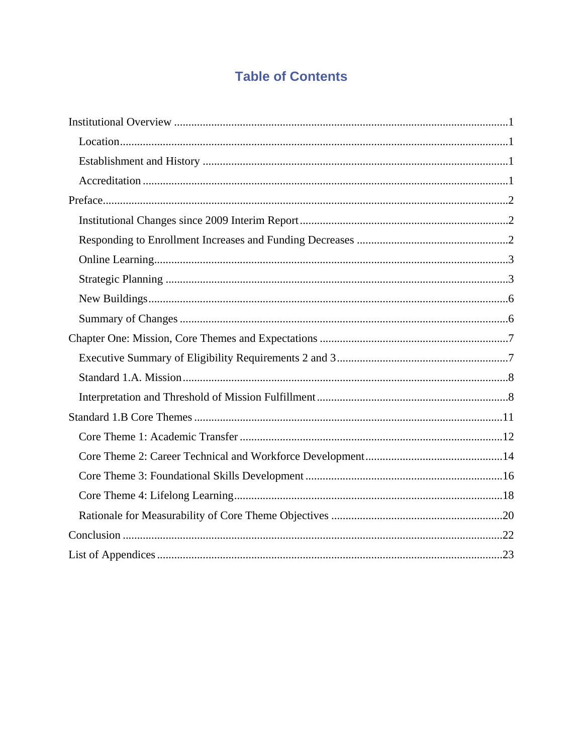# **Table of Contents**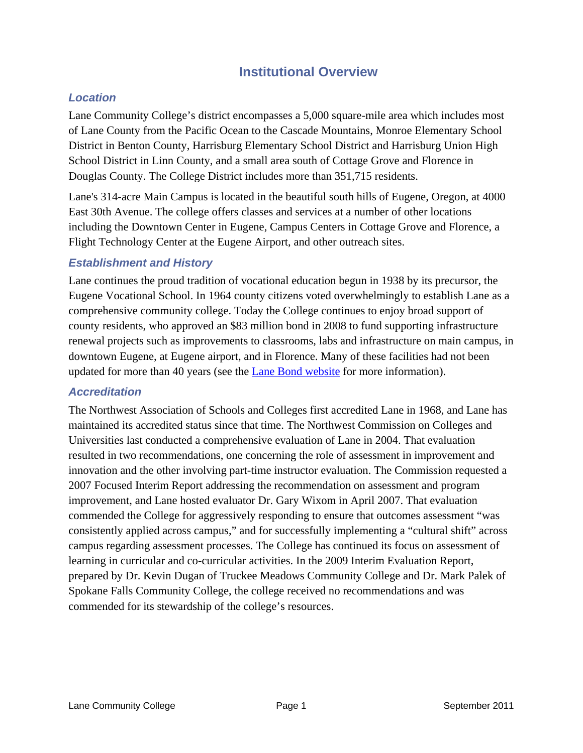## **Institutional Overview**

## <span id="page-4-0"></span>*Location*

Lane Community College's district encompasses a 5,000 square-mile area which includes most of Lane County from the Pacific Ocean to the Cascade Mountains, Monroe Elementary School District in Benton County, Harrisburg Elementary School District and Harrisburg Union High School District in Linn County, and a small area south of Cottage Grove and Florence in Douglas County. The College District includes more than 351,715 residents.

Lane's 314-acre Main Campus is located in the beautiful south hills of Eugene, Oregon, at 4000 East 30th Avenue. The college offers classes and services at a number of other locations including the Downtown Center in Eugene, Campus Centers in Cottage Grove and Florence, a Flight Technology Center at the Eugene Airport, and other outreach sites.

### *Establishment and History*

Lane continues the proud tradition of vocational education begun in 1938 by its precursor, the Eugene Vocational School. In 1964 county citizens voted overwhelmingly to establish Lane as a comprehensive community college. Today the College continues to enjoy broad support of county residents, who approved an \$83 million bond in 2008 to fund supporting infrastructure renewal projects such as improvements to classrooms, labs and infrastructure on main campus, in downtown Eugene, at Eugene airport, and in Florence. Many of these facilities had not been updated for more than 40 years (see the [Lane Bond website](http://www.lanecc.edu/bond2008/news.html) for more information).

#### *Accreditation*

The Northwest Association of Schools and Colleges first accredited Lane in 1968, and Lane has maintained its accredited status since that time. The Northwest Commission on Colleges and Universities last conducted a comprehensive evaluation of Lane in 2004. That evaluation resulted in two recommendations, one concerning the role of assessment in improvement and innovation and the other involving part-time instructor evaluation. The Commission requested a 2007 Focused Interim Report addressing the recommendation on assessment and program improvement, and Lane hosted evaluator Dr. Gary Wixom in April 2007. That evaluation commended the College for aggressively responding to ensure that outcomes assessment "was consistently applied across campus," and for successfully implementing a "cultural shift" across campus regarding assessment processes. The College has continued its focus on assessment of learning in curricular and co-curricular activities. In the 2009 Interim Evaluation Report, prepared by Dr. Kevin Dugan of Truckee Meadows Community College and Dr. Mark Palek of Spokane Falls Community College, the college received no recommendations and was commended for its stewardship of the college's resources.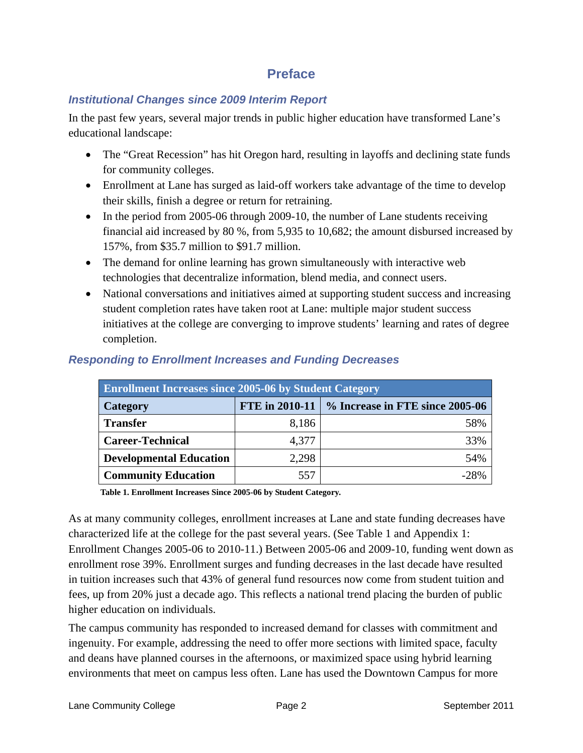## **Preface**

## <span id="page-5-0"></span>*Institutional Changes since 2009 Interim Report*

In the past few years, several major trends in public higher education have transformed Lane's educational landscape:

- The "Great Recession" has hit Oregon hard, resulting in layoffs and declining state funds for community colleges.
- Enrollment at Lane has surged as laid-off workers take advantage of the time to develop their skills, finish a degree or return for retraining.
- In the period from 2005-06 through 2009-10, the number of Lane students receiving financial aid increased by 80 %, from 5,935 to 10,682; the amount disbursed increased by 157%, from \$35.7 million to \$91.7 million.
- The demand for online learning has grown simultaneously with interactive web technologies that decentralize information, blend media, and connect users.
- National conversations and initiatives aimed at supporting student success and increasing student completion rates have taken root at Lane: multiple major student success initiatives at the college are converging to improve students' learning and rates of degree completion.

| <b>Enrollment Increases since 2005-06 by Student Category</b> |       |                                                       |
|---------------------------------------------------------------|-------|-------------------------------------------------------|
| Category                                                      |       | FTE in 2010-11 $\mid$ % Increase in FTE since 2005-06 |
| <b>Transfer</b>                                               | 8,186 | 58%                                                   |
| <b>Career-Technical</b>                                       | 4,377 | 33%                                                   |
| <b>Developmental Education</b>                                | 2,298 | 54%                                                   |
| <b>Community Education</b>                                    | 557   | $-28%$                                                |

## *Responding to Enrollment Increases and Funding Decreases*

 **Table 1. Enrollment Increases Since 2005-06 by Student Category.** 

As at many community colleges, enrollment increases at Lane and state funding decreases have characterized life at the college for the past several years. (See Table 1 and Appendix 1: Enrollment Changes 2005-06 to 2010-11.) Between 2005-06 and 2009-10, funding went down as enrollment rose 39%. Enrollment surges and funding decreases in the last decade have resulted in tuition increases such that 43% of general fund resources now come from student tuition and fees, up from 20% just a decade ago. This reflects a national trend placing the burden of public higher education on individuals.

The campus community has responded to increased demand for classes with commitment and ingenuity. For example, addressing the need to offer more sections with limited space, faculty and deans have planned courses in the afternoons, or maximized space using hybrid learning environments that meet on campus less often. Lane has used the Downtown Campus for more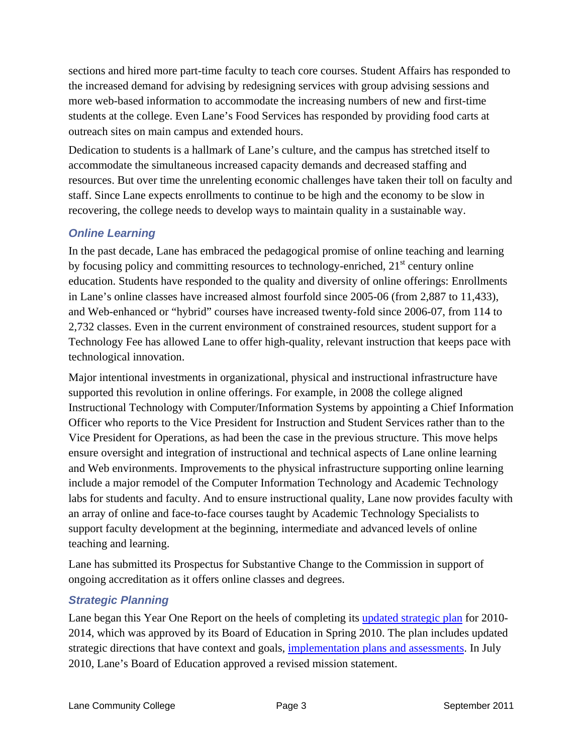<span id="page-6-0"></span>sections and hired more part-time faculty to teach core courses. Student Affairs has responded to the increased demand for advising by redesigning services with group advising sessions and more web-based information to accommodate the increasing numbers of new and first-time students at the college. Even Lane's Food Services has responded by providing food carts at outreach sites on main campus and extended hours.

Dedication to students is a hallmark of Lane's culture, and the campus has stretched itself to accommodate the simultaneous increased capacity demands and decreased staffing and resources. But over time the unrelenting economic challenges have taken their toll on faculty and staff. Since Lane expects enrollments to continue to be high and the economy to be slow in recovering, the college needs to develop ways to maintain quality in a sustainable way.

## *Online Learning*

In the past decade, Lane has embraced the pedagogical promise of online teaching and learning by focusing policy and committing resources to technology-enriched,  $21<sup>st</sup>$  century online education. Students have responded to the quality and diversity of online offerings: Enrollments in Lane's online classes have increased almost fourfold since 2005-06 (from 2,887 to 11,433), and Web-enhanced or "hybrid" courses have increased twenty-fold since 2006-07, from 114 to 2,732 classes. Even in the current environment of constrained resources, student support for a Technology Fee has allowed Lane to offer high-quality, relevant instruction that keeps pace with technological innovation.

Major intentional investments in organizational, physical and instructional infrastructure have supported this revolution in online offerings. For example, in 2008 the college aligned Instructional Technology with Computer/Information Systems by appointing a Chief Information Officer who reports to the Vice President for Instruction and Student Services rather than to the Vice President for Operations, as had been the case in the previous structure. This move helps ensure oversight and integration of instructional and technical aspects of Lane online learning and Web environments. Improvements to the physical infrastructure supporting online learning include a major remodel of the Computer Information Technology and Academic Technology labs for students and faculty. And to ensure instructional quality, Lane now provides faculty with an array of online and face-to-face courses taught by Academic Technology Specialists to support faculty development at the beginning, intermediate and advanced levels of online teaching and learning.

Lane has submitted its Prospectus for Substantive Change to the Commission in support of ongoing accreditation as it offers online classes and degrees.

## *Strategic Planning*

Lane began this Year One Report on the heels of completing its [updated strategic plan](http://www.lanecc.edu/research/planning/documents/StrategicDirectionsDraft15_2.pdf) for 2010- 2014, which was approved by its Board of Education in Spring 2010. The plan includes updated strategic directions that have context and goals, [implementation plans and assessments.](http://www.lanecc.edu/research/planning/StrategicDirections.htm) In July 2010, Lane's Board of Education approved a revised mission statement.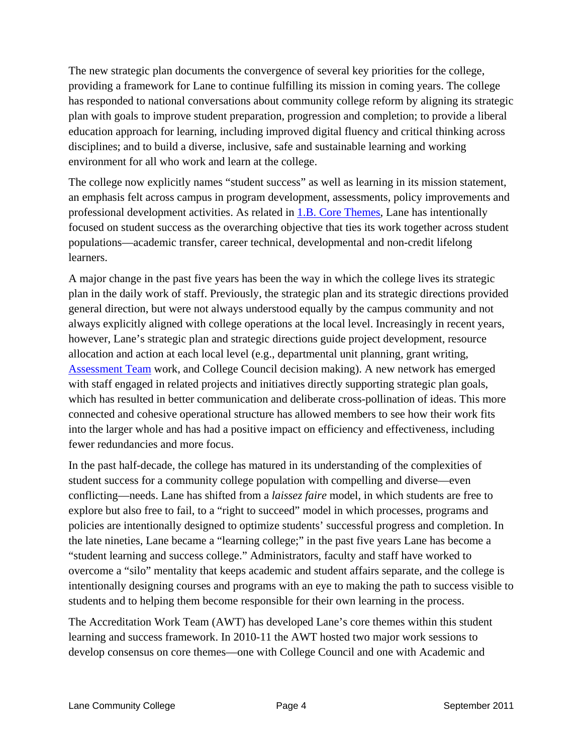The new strategic plan documents the convergence of several key priorities for the college, providing a framework for Lane to continue fulfilling its mission in coming years. The college has responded to national conversations about community college reform by aligning its strategic plan with goals to improve student preparation, progression and completion; to provide a liberal education approach for learning, including improved digital fluency and critical thinking across disciplines; and to build a diverse, inclusive, safe and sustainable learning and working environment for all who work and learn at the college.

The college now explicitly names "student success" as well as learning in its mission statement, an emphasis felt across campus in program development, assessments, policy improvements and professional development activities. As related in [1.B. Core Themes,](#page-14-0) Lane has intentionally focused on student success as the overarching objective that ties its work together across student populations—academic transfer, career technical, developmental and non-credit lifelong learners.

A major change in the past five years has been the way in which the college lives its strategic plan in the daily work of staff. Previously, the strategic plan and its strategic directions provided general direction, but were not always understood equally by the campus community and not always explicitly aligned with college operations at the local level. Increasingly in recent years, however, Lane's strategic plan and strategic directions guide project development, resource allocation and action at each local level (e.g., departmental unit planning, grant writing, [Assessment Team](http://www.lanecc.edu/assessment/) work, and College Council decision making). A new network has emerged with staff engaged in related projects and initiatives directly supporting strategic plan goals, which has resulted in better communication and deliberate cross-pollination of ideas. This more connected and cohesive operational structure has allowed members to see how their work fits into the larger whole and has had a positive impact on efficiency and effectiveness, including fewer redundancies and more focus.

In the past half-decade, the college has matured in its understanding of the complexities of student success for a community college population with compelling and diverse—even conflicting—needs. Lane has shifted from a *laissez faire* model, in which students are free to explore but also free to fail, to a "right to succeed" model in which processes, programs and policies are intentionally designed to optimize students' successful progress and completion. In the late nineties, Lane became a "learning college;" in the past five years Lane has become a "student learning and success college." Administrators, faculty and staff have worked to overcome a "silo" mentality that keeps academic and student affairs separate, and the college is intentionally designing courses and programs with an eye to making the path to success visible to students and to helping them become responsible for their own learning in the process.

The Accreditation Work Team (AWT) has developed Lane's core themes within this student learning and success framework. In 2010-11 the AWT hosted two major work sessions to develop consensus on core themes—one with College Council and one with Academic and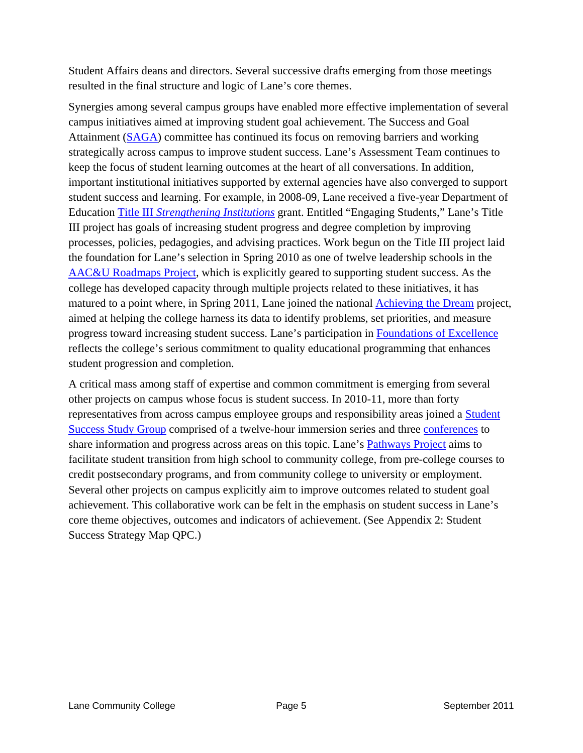Student Affairs deans and directors. Several successive drafts emerging from those meetings resulted in the final structure and logic of Lane's core themes.

Synergies among several campus groups have enabled more effective implementation of several campus initiatives aimed at improving student goal achievement. The Success and Goal Attainment ([SAGA\)](http://www.lanecc.edu/saga/whatis.html) committee has continued its focus on removing barriers and working strategically across campus to improve student success. Lane's Assessment Team continues to keep the focus of student learning outcomes at the heart of all conversations. In addition, important institutional initiatives supported by external agencies have also converged to support student success and learning. For example, in 2008-09, Lane received a five-year Department of Education Title III *[Strengthening Institutions](http://www2.ed.gov/programs/iduestitle3a/index.html)* grant. Entitled "Engaging Students," Lane's Title III project has goals of increasing student progress and degree completion by improving processes, policies, pedagogies, and advising practices. Work begun on the Title III project laid the foundation for Lane's selection in Spring 2010 as one of twelve leadership schools in the [AAC&U Roadmaps Project,](http://www.aacu.org/roadmap/index.cfm) which is explicitly geared to supporting student success. As the college has developed capacity through multiple projects related to these initiatives, it has matured to a point where, in Spring 2011, Lane joined the national [Achieving the Dream](http://www.achievingthedream.org/) project, aimed at helping the college harness its data to identify problems, set priorities, and measure progress toward increasing student success. Lane's participation in [Foundations of Excellence](http://www.fyfoundations.org/) reflects the college's serious commitment to quality educational programming that enhances student progression and completion.

A critical mass among staff of expertise and common commitment is emerging from several other projects on campus whose focus is student success. In 2010-11, more than forty representatives from across campus employee groups and responsibility areas joined a [Student](http://www.lanecc.edu/studentsuccess/immersion.html)  [Success Study Group](http://www.lanecc.edu/studentsuccess/immersion.html) comprised of a twelve-hour immersion series and three [conferences](http://www.lanecc.edu/studentsuccess/conferences.html) to share information and progress across areas on this topic. Lane's [Pathways Project](http://www.lanecc.edu/pathways/) aims to facilitate student transition from high school to community college, from pre-college courses to credit postsecondary programs, and from community college to university or employment. Several other projects on campus explicitly aim to improve outcomes related to student goal achievement. This collaborative work can be felt in the emphasis on student success in Lane's core theme objectives, outcomes and indicators of achievement. (See Appendix 2: Student Success Strategy Map QPC.)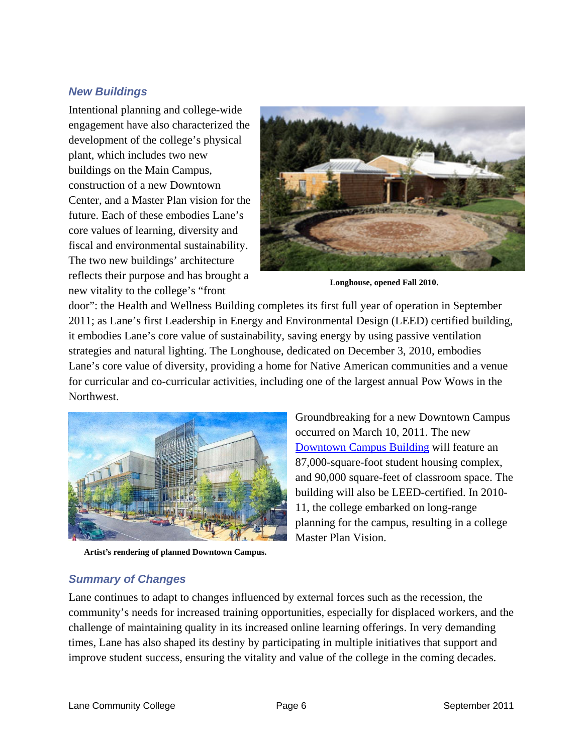#### <span id="page-9-0"></span>*New Buildings*

Intentional planning and college-wide engagement have also characterized the development of the college's physical plant, which includes two new buildings on the Main Campus, construction of a new Downtown Center, and a [Master Plan](http://www.lanecc.edu/campuslrplanning/) vision for the future. Each of these embodies Lane's core values of learning, diversity and fiscal and environmental sustainability. The two new buildings' architecture reflects their purpose and has brought a new vitality to the college's "front



**Longhouse, opened Fall 2010**.

door": the [Health and Wellness Building](http://www.lanecc.edu/healthwellness/projectstatus.html) completes its first full year of operation in September 2011; as Lane's first Leadership in Energy and Environmental Design (LEED) certified building, it embodies Lane's core value of sustainability, saving energy by using passive ventilation strategies and natural lighting. [The Longhouse](http://www.lanecc.edu/nasa/longhouse/), dedicated on December 3, 2010, embodies Lane's core value of diversity, providing a home for Native American communities and a venue for curricular and co-curricular activities, including one of the largest annual Pow Wows in the Northwest.



**Artist's rendering of planned Downtown Campus.** 

Groundbreaking for a new Downtown Campus occurred on March 10, 2011. The new [Downtown Campus Building](http://www.lanecc.edu/dc/index.html) will feature an 87,000-square-foot student housing complex, and 90,000 square-feet of classroom space. The building will also be LEED-certified. In 2010- 11, the college embarked on long-range planning for the campus, resulting in a college Master Plan Vision.

## *Summary of Changes*

Lane continues to adapt to changes influenced by external forces such as the recession, the community's needs for increased training opportunities, especially for displaced workers, and the challenge of maintaining quality in its increased online learning offerings. In very demanding times, Lane has also shaped its destiny by participating in multiple initiatives that support and improve student success, ensuring the vitality and value of the college in the coming decades.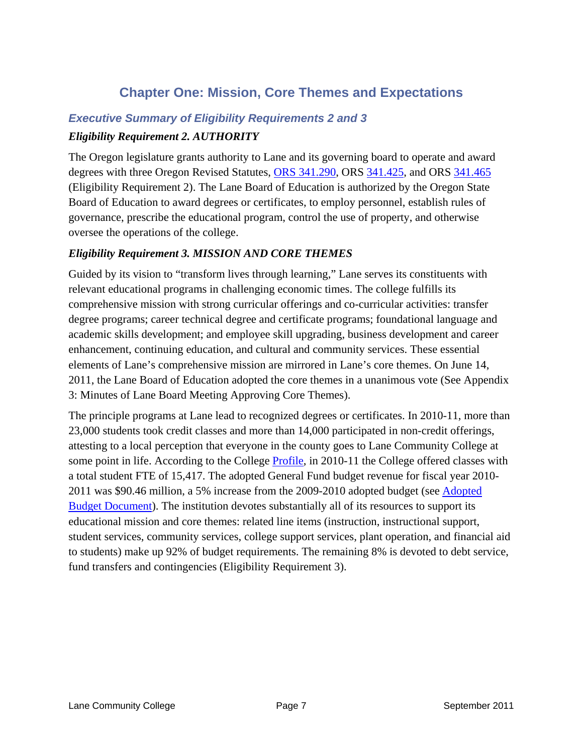## **Chapter One: Mission, Core Themes and Expectations**

## <span id="page-10-0"></span>*Executive Summary of Eligibility Requirements 2 and 3 Eligibility Requirement 2. AUTHORITY*

The Oregon legislature grants authority to Lane and its governing board to operate and award degrees with three Oregon Revised Statutes, [ORS 341.290,](https://www.oregonlaws.org/ors/341.290) ORS [341.425](https://www.oregonlaws.org/ors/341.425), and ORS [341.465](https://www.oregonlaws.org/ors/341.465) (Eligibility Requirement 2). The Lane Board of Education is authorized by the Oregon State Board of Education to award degrees or certificates, to employ personnel, establish rules of governance, prescribe the educational program, control the use of property, and otherwise oversee the operations of the college.

#### *Eligibility Requirement 3. MISSION AND CORE THEMES*

Guided by its vision to "transform lives through learning," Lane serves its constituents with relevant educational programs in challenging economic times. The college fulfills its comprehensive mission with strong curricular offerings and co-curricular activities: transfer degree programs; career technical degree and certificate programs; foundational language and academic skills development; and employee skill upgrading, business development and career enhancement, continuing education, and cultural and community services. These essential elements of Lane's comprehensive mission are mirrored in Lane's core themes. On June 14, 2011, the Lane Board of Education adopted the core themes in a unanimous vote (See Appendix 3: Minutes of Lane Board Meeting Approving Core Themes).

The principle programs at Lane lead to recognized degrees or certificates. In 2010-11, more than 23,000 students took credit classes and more than 14,000 participated in non-credit offerings, attesting to a local perception that everyone in the county goes to Lane Community College at some point in life. According to the College [Profile,](http://www.lanecc.edu/research/ir/2010-11Profile.htm) in 2010-11 the College offered classes with a total student FTE of 15,417. The adopted General Fund budget revenue for fiscal year 2010- 2011 was \$90.46 million, a 5% increase from the 2009-2010 adopted budget (see [Adopted](http://www.lanecc.edu/budget/1011/documents/AdoptedBudgetDocument-FY11-FINAL.pdf)  [Budget Document\)](http://www.lanecc.edu/budget/1011/documents/AdoptedBudgetDocument-FY11-FINAL.pdf). The institution devotes substantially all of its resources to support its educational mission and core themes: related line items (instruction, instructional support, student services, community services, college support services, plant operation, and financial aid to students) make up 92% of budget requirements. The remaining 8% is devoted to debt service, fund transfers and contingencies (Eligibility Requirement 3).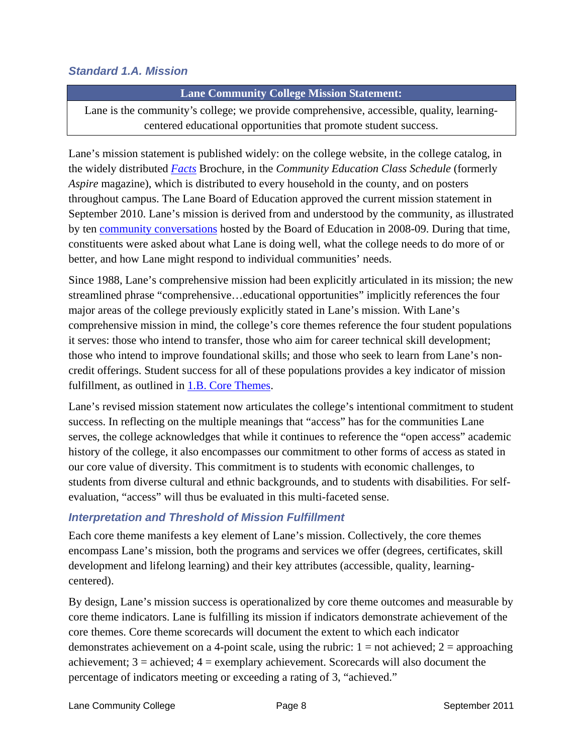## <span id="page-11-0"></span>*Standard 1.A. Mission*

#### **Lane Community College Mission Statement:**

Lane is the community's college; we provide comprehensive, accessible, quality, learningcentered educational opportunities that promote student success.

Lane's mission statement is published widely: on the college website, in the college catalog, in the widely distributed *[Facts](http://www.lanecc.edu/research/ir/facts.html)* Brochure, in the *Community Education Class Schedule* (formerly *Aspire* magazine), which is distributed to every household in the county, and on posters throughout campus. The Lane Board of Education approved the current mission statement in September 2010. Lane's mission is derived from and understood by the community, as illustrated by ten [community conversations](http://www.lanecc.edu/research/planning/2007-08CommunityConversations.htm) hosted by the Board of Education in 2008-09. During that time, constituents were asked about what Lane is doing well, what the college needs to do more of or better, and how Lane might respond to individual communities' needs.

Since 1988, Lane's comprehensive mission had been explicitly articulated in its mission; the new streamlined phrase "comprehensive…educational opportunities" implicitly references the four major areas of the college previously explicitly stated in Lane's mission. With Lane's comprehensive mission in mind, the college's core themes reference the four student populations it serves: those who intend to transfer, those who aim for career technical skill development; those who intend to improve foundational skills; and those who seek to learn from Lane's noncredit offerings. Student success for all of these populations provides a key indicator of mission fulfillment, as outlined in <u>[1.B. Core Themes](#page-14-0)</u>.

Lane's revised mission statement now articulates the college's intentional commitment to student success. In reflecting on the multiple meanings that "access" has for the communities Lane serves, the college acknowledges that while it continues to reference the "open access" academic history of the college, it also encompasses our commitment to other forms of access as stated in our core value of diversity. This commitment is to students with economic challenges, to students from diverse cultural and ethnic backgrounds, and to students with disabilities. For selfevaluation, "access" will thus be evaluated in this multi-faceted sense.

#### *Interpretation and Threshold of Mission Fulfillment*

Each core theme manifests a key element of Lane's mission. Collectively, the core themes encompass Lane's mission, both the programs and services we offer (degrees, certificates, skill development and lifelong learning) and their key attributes (accessible, quality, learningcentered).

By design, Lane's mission success is operationalized by core theme outcomes and measurable by core theme indicators. Lane is fulfilling its mission if indicators demonstrate achievement of the core themes. Core theme scorecards will document the extent to which each indicator demonstrates achievement on a 4-point scale, using the rubric:  $1 = not$  achieved;  $2 = approximately$  approaching achievement;  $3 =$  achieved;  $4 =$  exemplary achievement. Scorecards will also document the percentage of indicators meeting or exceeding a rating of 3, "achieved."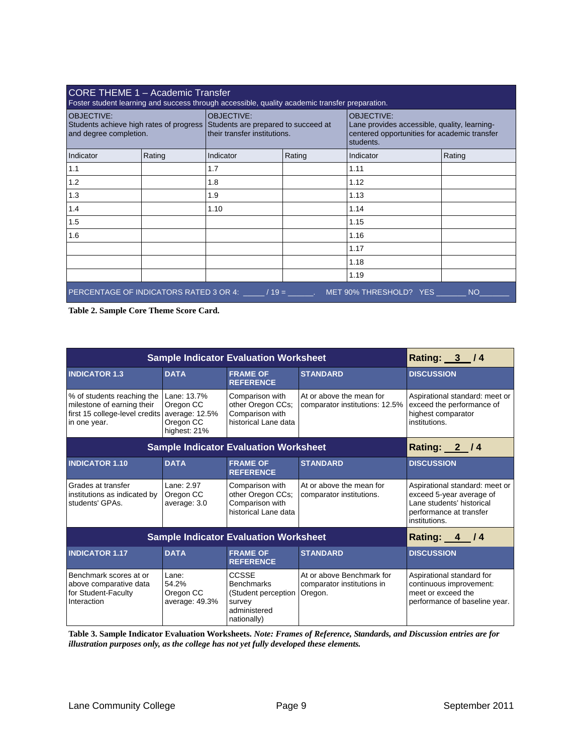| CORE THEME 1 - Academic Transfer<br>Foster student learning and success through accessible, quality academic transfer preparation. |        |                                                   |        |                                                                                                                                |        |
|------------------------------------------------------------------------------------------------------------------------------------|--------|---------------------------------------------------|--------|--------------------------------------------------------------------------------------------------------------------------------|--------|
| <b>OBJECTIVE:</b><br>Students achieve high rates of progress Students are prepared to succeed at<br>and degree completion.         |        | <b>OBJECTIVE:</b><br>their transfer institutions. |        | <b>OBJECTIVE:</b><br>Lane provides accessible, quality, learning-<br>centered opportunities for academic transfer<br>students. |        |
| Indicator                                                                                                                          | Rating | Indicator                                         | Rating | Indicator                                                                                                                      | Rating |
| 1.1                                                                                                                                |        | 1.7                                               |        | 1.11                                                                                                                           |        |
| 1.2                                                                                                                                |        | 1.8                                               |        | 1.12                                                                                                                           |        |
| 1.3                                                                                                                                |        | 1.9                                               |        | 1.13                                                                                                                           |        |
| 1.4                                                                                                                                |        | 1.10                                              |        | 1.14                                                                                                                           |        |
| 1.5                                                                                                                                |        |                                                   |        | 1.15                                                                                                                           |        |
| 1.6                                                                                                                                |        |                                                   |        | 1.16                                                                                                                           |        |
|                                                                                                                                    |        |                                                   |        | 1.17                                                                                                                           |        |
|                                                                                                                                    |        |                                                   |        | 1.18                                                                                                                           |        |
|                                                                                                                                    |        |                                                   |        | 1.19                                                                                                                           |        |
| PERCENTAGE OF INDICATORS RATED 3 OR 4: / 19 = . MET 90% THRESHOLD? YES<br><b>NO</b>                                                |        |                                                   |        |                                                                                                                                |        |

**Table 2. Sample Core Theme Score Card.** 

| <b>Sample Indicator Evaluation Worksheet</b>                                                                              |                                                       |                                                                                            |                                                                    | Rating: 3 /4                                                                                                                        |
|---------------------------------------------------------------------------------------------------------------------------|-------------------------------------------------------|--------------------------------------------------------------------------------------------|--------------------------------------------------------------------|-------------------------------------------------------------------------------------------------------------------------------------|
| <b>INDICATOR 1.3</b>                                                                                                      | <b>DATA</b>                                           | <b>FRAME OF</b><br><b>REFERENCE</b>                                                        | <b>STANDARD</b>                                                    | <b>DISCUSSION</b>                                                                                                                   |
| % of students reaching the<br>milestone of earning their<br>first 15 college-level credits average: 12.5%<br>in one year. | Lane: 13.7%<br>Oregon CC<br>Oregon CC<br>highest: 21% | Comparison with<br>other Oregon CCs;<br>Comparison with<br>historical Lane data            | At or above the mean for<br>comparator institutions: 12.5%         | Aspirational standard: meet or<br>exceed the performance of<br>highest comparator<br>institutions.                                  |
| <b>Sample Indicator Evaluation Worksheet</b>                                                                              |                                                       |                                                                                            | Rating: 2 / 4                                                      |                                                                                                                                     |
| <b>INDICATOR 1.10</b>                                                                                                     | <b>DATA</b>                                           | <b>FRAME OF</b><br><b>REFERENCE</b>                                                        | <b>STANDARD</b>                                                    | <b>DISCUSSION</b>                                                                                                                   |
| Grades at transfer<br>institutions as indicated by<br>students' GPAs.                                                     | Lane: 2.97<br>Oregon CC<br>average: 3.0               | Comparison with<br>other Oregon CCs;<br>Comparison with<br>historical Lane data            | At or above the mean for<br>comparator institutions.               | Aspirational standard: meet or<br>exceed 5-year average of<br>Lane students' historical<br>performance at transfer<br>institutions. |
| <b>Sample Indicator Evaluation Worksheet</b>                                                                              |                                                       |                                                                                            |                                                                    | Rating: 4 / 4                                                                                                                       |
| <b>INDICATOR 1.17</b>                                                                                                     | <b>DATA</b>                                           | <b>FRAME OF</b><br><b>REFERENCE</b>                                                        | <b>STANDARD</b>                                                    | <b>DISCUSSION</b>                                                                                                                   |
| Benchmark scores at or<br>above comparative data<br>for Student-Faculty<br>Interaction                                    | Lane:<br>54.2%<br>Oregon CC<br>average: 49.3%         | CCSSE<br><b>Benchmarks</b><br>(Student perception<br>survey<br>administered<br>nationally) | At or above Benchmark for<br>comparator institutions in<br>Oregon. | Aspirational standard for<br>continuous improvement:<br>meet or exceed the<br>performance of baseline year.                         |

**Table 3. Sample Indicator Evaluation Worksheets.** *Note: Frames of Reference, Standards, and Discussion entries are for illustration purposes only, as the college has not yet fully developed these elements.*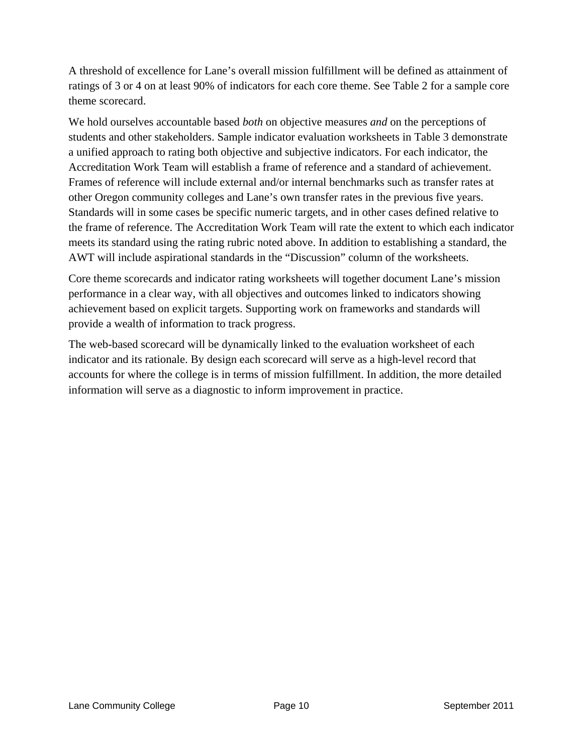A threshold of excellence for Lane's overall mission fulfillment will be defined as attainment of ratings of 3 or 4 on at least 90% of indicators for each core theme. See Table 2 for a sample core theme scorecard.

We hold ourselves accountable based *both* on objective measures *and* on the perceptions of students and other stakeholders. Sample indicator evaluation worksheets in Table 3 demonstrate a unified approach to rating both objective and subjective indicators. For each indicator, the Accreditation Work Team will establish a frame of reference and a standard of achievement. Frames of reference will include external and/or internal benchmarks such as transfer rates at other Oregon community colleges and Lane's own transfer rates in the previous five years. Standards will in some cases be specific numeric targets, and in other cases defined relative to the frame of reference. The Accreditation Work Team will rate the extent to which each indicator meets its standard using the rating rubric noted above. In addition to establishing a standard, the AWT will include aspirational standards in the "Discussion" column of the worksheets.

Core theme scorecards and indicator rating worksheets will together document Lane's mission performance in a clear way, with all objectives and outcomes linked to indicators showing achievement based on explicit targets. Supporting work on frameworks and standards will provide a wealth of information to track progress.

The web-based scorecard will be dynamically linked to the evaluation worksheet of each indicator and its rationale. By design each scorecard will serve as a high-level record that accounts for where the college is in terms of mission fulfillment. In addition, the more detailed information will serve as a diagnostic to inform improvement in practice.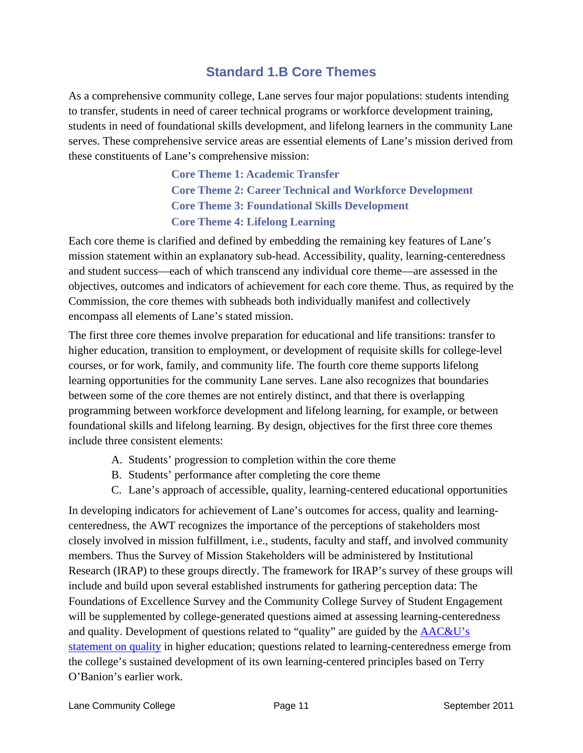## **Standard 1.B Core Themes**

<span id="page-14-0"></span>As a comprehensive community college, Lane serves four major populations: students intending to transfer, students in need of career technical programs or workforce development training, students in need of foundational skills development, and lifelong learners in the community Lane serves. These comprehensive service areas are essential elements of Lane's mission derived from these constituents of Lane's comprehensive mission:

> **Core Theme 1: Academic Transfer Core Theme 2: Career Technical and Workforce Development Core Theme 3: Foundational Skills Development Core Theme 4: Lifelong Learning**

Each core theme is clarified and defined by embedding the remaining key features of Lane's mission statement within an explanatory sub-head. Accessibility, quality, learning-centeredness and student success—each of which transcend any individual core theme—are assessed in the objectives, outcomes and indicators of achievement for each core theme. Thus, as required by the Commission, the core themes with subheads both individually manifest and collectively encompass all elements of Lane's stated mission.

The first three core themes involve preparation for educational and life transitions: transfer to higher education, transition to employment, or development of requisite skills for college-level courses, or for work, family, and community life. The fourth core theme supports lifelong learning opportunities for the community Lane serves. Lane also recognizes that boundaries between some of the core themes are not entirely distinct, and that there is overlapping programming between workforce development and lifelong learning, for example, or between foundational skills and lifelong learning. By design, objectives for the first three core themes include three consistent elements:

- A. Students' progression to completion within the core theme
- B. Students' performance after completing the core theme
- C. Lane's approach of accessible, quality, learning-centered educational opportunities

In developing indicators for achievement of Lane's outcomes for access, quality and learningcenteredness, the AWT recognizes the importance of the perceptions of stakeholders most closely involved in mission fulfillment, i.e., students, faculty and staff, and involved community members. Thus the Survey of Mission Stakeholders will be administered by Institutional Research (IRAP) to these groups directly. The framework for IRAP's survey of these groups will include and build upon several established instruments for gathering perception data: The Foundations of Excellence Survey and the Community College Survey of Student Engagement will be supplemented by college-generated questions aimed at assessing learning-centeredness and quality. Development of questions related to "quality" are guided by the [AAC&U's](http://www.aacu.org/about/statements/documents/Quality_Imperative_2010.pdf)  [statement on quality](http://www.aacu.org/about/statements/documents/Quality_Imperative_2010.pdf) in higher education; questions related to learning-centeredness emerge from the college's sustained development of its own learning-centered principles based on Terry O'Banion's earlier work.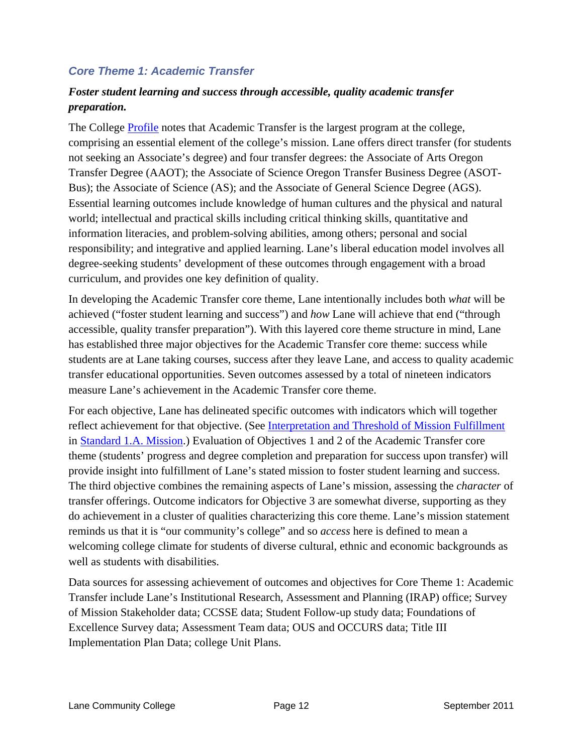## <span id="page-15-0"></span>*Core Theme 1: Academic Transfer*

## *Foster student learning and success through accessible, quality academic transfer preparation.*

The College [Profile](http://www.lanecc.edu/research/ir/documents/FTEEnrollmentpgs12-21_000.pdf) notes that Academic Transfer is the largest program at the college, comprising an essential element of the college's mission. Lane offers direct transfer (for students not seeking an Associate's degree) and four transfer degrees: the Associate of Arts Oregon Transfer Degree (AAOT); the Associate of Science Oregon Transfer Business Degree (ASOT-Bus); the Associate of Science (AS); and the Associate of General Science Degree (AGS). Essential learning outcomes include knowledge of human cultures and the physical and natural world; intellectual and practical skills including critical thinking skills, quantitative and information literacies, and problem-solving abilities, among others; personal and social responsibility; and integrative and applied learning. Lane's liberal education model involves all degree-seeking students' development of these outcomes through engagement with a broad curriculum, and provides one key definition of quality.

In developing the Academic Transfer core theme, Lane intentionally includes both *what* will be achieved ("foster student learning and success") and *how* Lane will achieve that end ("through accessible, quality transfer preparation"). With this layered core theme structure in mind, Lane has established three major objectives for the Academic Transfer core theme: success while students are at Lane taking courses, success after they leave Lane, and access to quality academic transfer educational opportunities. Seven outcomes assessed by a total of nineteen indicators measure Lane's achievement in the Academic Transfer core theme.

For each objective, Lane has delineated specific outcomes with indicators which will together reflect achievement for that objective. (See [Interpretation and Threshold of Mission Fulfillment](#page-11-0) in [Standard 1.A. Mission](#page-11-0).) Evaluation of Objectives 1 and 2 of the Academic Transfer core theme (students' progress and degree completion and preparation for success upon transfer) will provide insight into fulfillment of Lane's stated mission to foster student learning and success. The third objective combines the remaining aspects of Lane's mission, assessing the *character* of transfer offerings. Outcome indicators for Objective 3 are somewhat diverse, supporting as they do achievement in a cluster of qualities characterizing this core theme. Lane's mission statement reminds us that it is "our community's college" and so *access* here is defined to mean a welcoming college climate for students of diverse cultural, ethnic and economic backgrounds as well as students with disabilities.

Data sources for assessing achievement of outcomes and objectives for Core Theme 1: Academic Transfer include Lane's Institutional Research, Assessment and Planning (IRAP) office; Survey of Mission Stakeholder data; CCSSE data; Student Follow-up study data; Foundations of Excellence Survey data; Assessment Team data; OUS and OCCURS data; Title III Implementation Plan Data; college Unit Plans.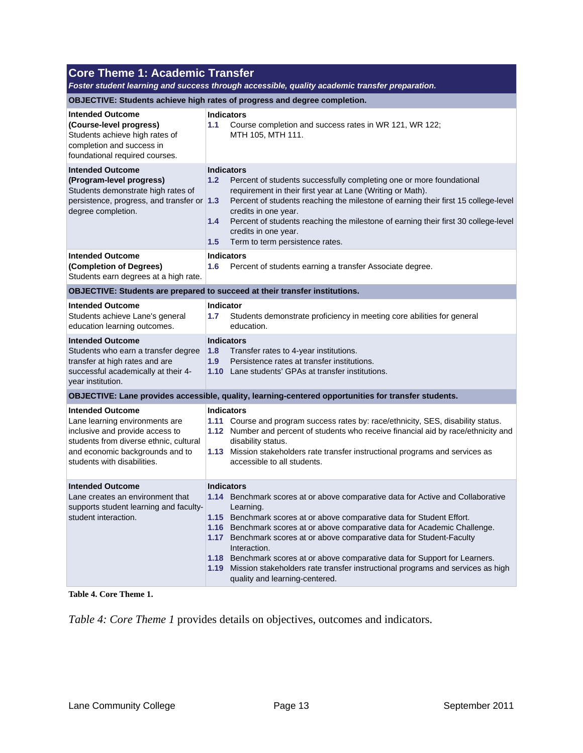| <b>Core Theme 1: Academic Transfer</b><br>Foster student learning and success through accessible, quality academic transfer preparation.                                                                 |                                                                                                                                                                                                                                                                                                                                                                                                                                                                                                                                                                              |  |  |
|----------------------------------------------------------------------------------------------------------------------------------------------------------------------------------------------------------|------------------------------------------------------------------------------------------------------------------------------------------------------------------------------------------------------------------------------------------------------------------------------------------------------------------------------------------------------------------------------------------------------------------------------------------------------------------------------------------------------------------------------------------------------------------------------|--|--|
|                                                                                                                                                                                                          | OBJECTIVE: Students achieve high rates of progress and degree completion.                                                                                                                                                                                                                                                                                                                                                                                                                                                                                                    |  |  |
| <b>Intended Outcome</b><br>(Course-level progress)<br>Students achieve high rates of<br>completion and success in<br>foundational required courses.                                                      | <b>Indicators</b><br>1.1<br>Course completion and success rates in WR 121, WR 122;<br>MTH 105, MTH 111.                                                                                                                                                                                                                                                                                                                                                                                                                                                                      |  |  |
| <b>Intended Outcome</b><br>(Program-level progress)<br>Students demonstrate high rates of<br>persistence, progress, and transfer or 1.3<br>degree completion.                                            | <b>Indicators</b><br>1.2<br>Percent of students successfully completing one or more foundational<br>requirement in their first year at Lane (Writing or Math).<br>Percent of students reaching the milestone of earning their first 15 college-level<br>credits in one year.<br>Percent of students reaching the milestone of earning their first 30 college-level<br>1.4<br>credits in one year.<br>Term to term persistence rates.<br>1.5                                                                                                                                  |  |  |
| <b>Intended Outcome</b><br>(Completion of Degrees)<br>Students earn degrees at a high rate.                                                                                                              | <b>Indicators</b><br>1.6<br>Percent of students earning a transfer Associate degree.                                                                                                                                                                                                                                                                                                                                                                                                                                                                                         |  |  |
| OBJECTIVE: Students are prepared to succeed at their transfer institutions.                                                                                                                              |                                                                                                                                                                                                                                                                                                                                                                                                                                                                                                                                                                              |  |  |
| <b>Intended Outcome</b><br>Students achieve Lane's general<br>education learning outcomes.                                                                                                               | <b>Indicator</b><br>Students demonstrate proficiency in meeting core abilities for general<br>1.7<br>education.                                                                                                                                                                                                                                                                                                                                                                                                                                                              |  |  |
| <b>Intended Outcome</b><br>Students who earn a transfer degree<br>transfer at high rates and are<br>successful academically at their 4-<br>year institution.                                             | <b>Indicators</b><br>1.8<br>Transfer rates to 4-year institutions.<br>Persistence rates at transfer institutions.<br>1.9<br>1.10 Lane students' GPAs at transfer institutions.                                                                                                                                                                                                                                                                                                                                                                                               |  |  |
|                                                                                                                                                                                                          | OBJECTIVE: Lane provides accessible, quality, learning-centered opportunities for transfer students.                                                                                                                                                                                                                                                                                                                                                                                                                                                                         |  |  |
| <b>Intended Outcome</b><br>Lane learning environments are<br>inclusive and provide access to<br>students from diverse ethnic, cultural<br>and economic backgrounds and to<br>students with disabilities. | <b>Indicators</b><br>1.11 Course and program success rates by: race/ethnicity, SES, disability status.<br>1.12 Number and percent of students who receive financial aid by race/ethnicity and<br>disability status.<br>1.13 Mission stakeholders rate transfer instructional programs and services as<br>accessible to all students.                                                                                                                                                                                                                                         |  |  |
| <b>Intended Outcome</b><br>Lane creates an environment that<br>supports student learning and faculty-<br>student interaction.                                                                            | <b>Indicators</b><br>1.14 Benchmark scores at or above comparative data for Active and Collaborative<br>Learning.<br>1.15 Benchmark scores at or above comparative data for Student Effort.<br>1.16 Benchmark scores at or above comparative data for Academic Challenge.<br>1.17 Benchmark scores at or above comparative data for Student-Faculty<br>Interaction.<br>1.18 Benchmark scores at or above comparative data for Support for Learners.<br>1.19 Mission stakeholders rate transfer instructional programs and services as high<br>quality and learning-centered. |  |  |

**Table 4. Core Theme 1.** 

*Table 4: Core Theme 1* provides details on objectives, outcomes and indicators.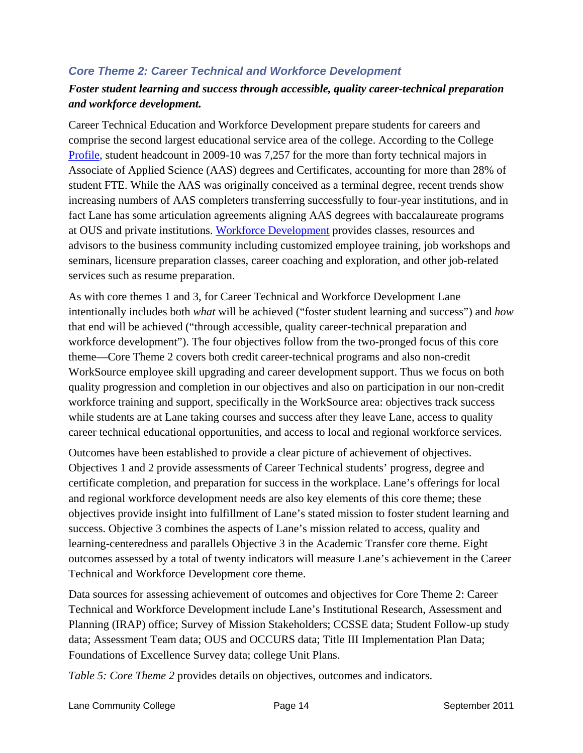## <span id="page-17-0"></span>*Core Theme 2: Career Technical and Workforce Development*

## *Foster student learning and success through accessible, quality career-technical preparation and workforce development.*

Career Technical Education and Workforce Development prepare students for careers and comprise the second largest educational service area of the college. According to the College [Profile,](http://www.lanecc.edu/research/ir/documents/FTEEnrollmentpgs12-21_000.pdf) student headcount in 2009-10 was 7,257 for the more than forty technical majors in Associate of Applied Science (AAS) degrees and Certificates, accounting for more than 28% of student FTE. While the AAS was originally conceived as a terminal degree, recent trends show increasing numbers of AAS completers transferring successfully to four-year institutions, and in fact Lane has some articulation agreements aligning AAS degrees with baccalaureate programs at OUS and private institutions. [Workforce Development](http://www.lanecc.edu/wdd/index.html) provides classes, resources and advisors to the business community including customized employee training, job workshops and seminars, licensure preparation classes, career coaching and exploration, and other job-related services such as resume preparation.

As with core themes 1 and 3, for Career Technical and Workforce Development Lane intentionally includes both *what* will be achieved ("foster student learning and success") and *how* that end will be achieved ("through accessible, quality career-technical preparation and workforce development"). The four objectives follow from the two-pronged focus of this core theme—Core Theme 2 covers both credit career-technical programs and also non-credit WorkSource employee skill upgrading and career development support. Thus we focus on both quality progression and completion in our objectives and also on participation in our non-credit workforce training and support, specifically in the WorkSource area: objectives track success while students are at Lane taking courses and success after they leave Lane, access to quality career technical educational opportunities, and access to local and regional workforce services.

Outcomes have been established to provide a clear picture of achievement of objectives. Objectives 1 and 2 provide assessments of Career Technical students' progress, degree and certificate completion, and preparation for success in the workplace. Lane's offerings for local and regional workforce development needs are also key elements of this core theme; these objectives provide insight into fulfillment of Lane's stated mission to foster student learning and success. Objective 3 combines the aspects of Lane's mission related to access, quality and learning-centeredness and parallels Objective 3 in the Academic Transfer core theme. Eight outcomes assessed by a total of twenty indicators will measure Lane's achievement in the Career Technical and Workforce Development core theme.

Data sources for assessing achievement of outcomes and objectives for Core Theme 2: Career Technical and Workforce Development include Lane's Institutional Research, Assessment and Planning (IRAP) office; Survey of Mission Stakeholders; CCSSE data; Student Follow-up study data; Assessment Team data; OUS and OCCURS data; Title III Implementation Plan Data; Foundations of Excellence Survey data; college Unit Plans.

*Table 5: Core Theme 2* provides details on objectives, outcomes and indicators.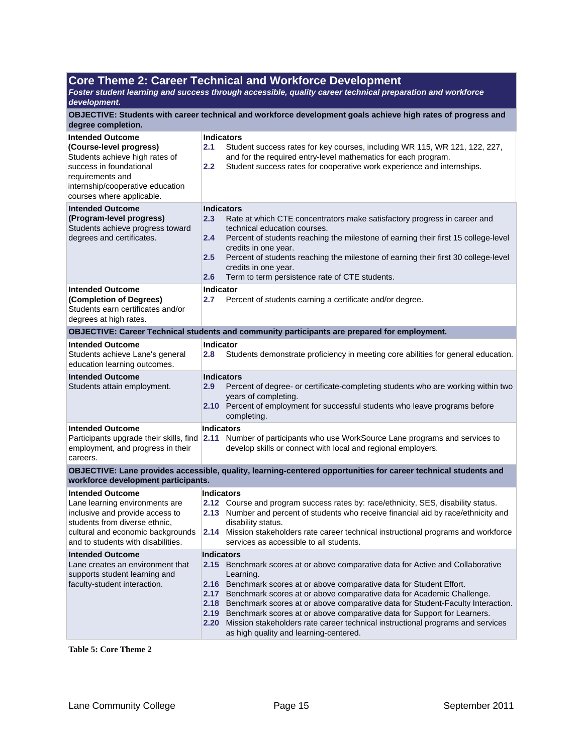#### **Core Theme 2: Career Technical and Workforce Development**

*Foster student learning and success through accessible, quality career technical preparation and workforce development.*

**OBJECTIVE: Students with career technical and workforce development goals achieve high rates of progress and degree completion.**

| <b>Intended Outcome</b><br>(Course-level progress)<br>Students achieve high rates of<br>success in foundational<br>requirements and<br>internship/cooperative education<br>courses where applicable.     | <b>Indicators</b><br>2.1<br>Student success rates for key courses, including WR 115, WR 121, 122, 227,<br>and for the required entry-level mathematics for each program.<br>2.2<br>Student success rates for cooperative work experience and internships.                                                                                                                                                                                                                                                                                                                               |  |
|----------------------------------------------------------------------------------------------------------------------------------------------------------------------------------------------------------|-----------------------------------------------------------------------------------------------------------------------------------------------------------------------------------------------------------------------------------------------------------------------------------------------------------------------------------------------------------------------------------------------------------------------------------------------------------------------------------------------------------------------------------------------------------------------------------------|--|
| <b>Intended Outcome</b><br>(Program-level progress)<br>Students achieve progress toward<br>degrees and certificates.                                                                                     | <b>Indicators</b><br>2.3<br>Rate at which CTE concentrators make satisfactory progress in career and<br>technical education courses.<br>Percent of students reaching the milestone of earning their first 15 college-level<br>2.4<br>credits in one year.<br>2.5<br>Percent of students reaching the milestone of earning their first 30 college-level<br>credits in one year.<br>Term to term persistence rate of CTE students.<br>2.6                                                                                                                                                 |  |
| <b>Intended Outcome</b><br>(Completion of Degrees)<br>Students earn certificates and/or<br>degrees at high rates.                                                                                        | <b>Indicator</b><br>$2.7\,$<br>Percent of students earning a certificate and/or degree.                                                                                                                                                                                                                                                                                                                                                                                                                                                                                                 |  |
|                                                                                                                                                                                                          | OBJECTIVE: Career Technical students and community participants are prepared for employment.                                                                                                                                                                                                                                                                                                                                                                                                                                                                                            |  |
| <b>Intended Outcome</b><br>Students achieve Lane's general<br>education learning outcomes.                                                                                                               | Indicator<br>2.8<br>Students demonstrate proficiency in meeting core abilities for general education.                                                                                                                                                                                                                                                                                                                                                                                                                                                                                   |  |
| <b>Intended Outcome</b><br>Students attain employment.                                                                                                                                                   | <b>Indicators</b><br>Percent of degree- or certificate-completing students who are working within two<br>2.9<br>years of completing.<br>2.10 Percent of employment for successful students who leave programs before<br>completing.                                                                                                                                                                                                                                                                                                                                                     |  |
| <b>Intended Outcome</b><br>Participants upgrade their skills, find<br>employment, and progress in their<br>careers.                                                                                      | <b>Indicators</b><br>2.11 Number of participants who use WorkSource Lane programs and services to<br>develop skills or connect with local and regional employers.                                                                                                                                                                                                                                                                                                                                                                                                                       |  |
| workforce development participants.                                                                                                                                                                      | OBJECTIVE: Lane provides accessible, quality, learning-centered opportunities for career technical students and                                                                                                                                                                                                                                                                                                                                                                                                                                                                         |  |
| <b>Intended Outcome</b><br>Lane learning environments are<br>inclusive and provide access to<br>students from diverse ethnic,<br>cultural and economic backgrounds<br>and to students with disabilities. | <b>Indicators</b><br>2.12 Course and program success rates by: race/ethnicity, SES, disability status.<br>2.13 Number and percent of students who receive financial aid by race/ethnicity and<br>disability status.<br>2.14 Mission stakeholders rate career technical instructional programs and workforce<br>services as accessible to all students.                                                                                                                                                                                                                                  |  |
| <b>Intended Outcome</b><br>Lane creates an environment that<br>supports student learning and<br>faculty-student interaction.                                                                             | <b>Indicators</b><br>2.15 Benchmark scores at or above comparative data for Active and Collaborative<br>Learning.<br>2.16 Benchmark scores at or above comparative data for Student Effort.<br>Benchmark scores at or above comparative data for Academic Challenge.<br>2.17<br>2.18 Benchmark scores at or above comparative data for Student-Faculty Interaction.<br>Benchmark scores at or above comparative data for Support for Learners.<br>2.19<br>2.20 Mission stakeholders rate career technical instructional programs and services<br>as high quality and learning-centered. |  |

**Table 5: Core Theme 2**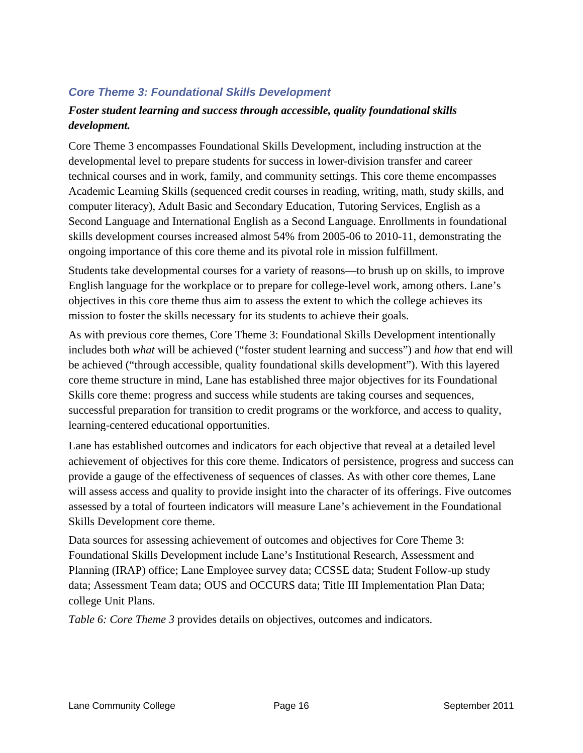## <span id="page-19-0"></span>*Core Theme 3: Foundational Skills Development*

## *Foster student learning and success through accessible, quality foundational skills development.*

Core Theme 3 encompasses Foundational Skills Development, including instruction at the developmental level to prepare students for success in lower-division transfer and career technical courses and in work, family, and community settings. This core theme encompasses Academic Learning Skills (sequenced credit courses in reading, writing, math, study skills, and computer literacy), Adult Basic and Secondary Education, Tutoring Services, English as a Second Language and International English as a Second Language. Enrollments in foundational skills development courses increased almost 54% from 2005-06 to 2010-11, demonstrating the ongoing importance of this core theme and its pivotal role in mission fulfillment.

Students take developmental courses for a variety of reasons—to brush up on skills, to improve English language for the workplace or to prepare for college-level work, among others. Lane's objectives in this core theme thus aim to assess the extent to which the college achieves its mission to foster the skills necessary for its students to achieve their goals.

As with previous core themes, Core Theme 3: Foundational Skills Development intentionally includes both *what* will be achieved ("foster student learning and success") and *how* that end will be achieved ("through accessible, quality foundational skills development"). With this layered core theme structure in mind, Lane has established three major objectives for its Foundational Skills core theme: progress and success while students are taking courses and sequences, successful preparation for transition to credit programs or the workforce, and access to quality, learning-centered educational opportunities.

Lane has established outcomes and indicators for each objective that reveal at a detailed level achievement of objectives for this core theme. Indicators of persistence, progress and success can provide a gauge of the effectiveness of sequences of classes. As with other core themes, Lane will assess access and quality to provide insight into the character of its offerings. Five outcomes assessed by a total of fourteen indicators will measure Lane's achievement in the Foundational Skills Development core theme.

Data sources for assessing achievement of outcomes and objectives for Core Theme 3: Foundational Skills Development include Lane's Institutional Research, Assessment and Planning (IRAP) office; Lane Employee survey data; CCSSE data; Student Follow-up study data; Assessment Team data; OUS and OCCURS data; Title III Implementation Plan Data; college Unit Plans.

*Table 6: Core Theme 3* provides details on objectives, outcomes and indicators.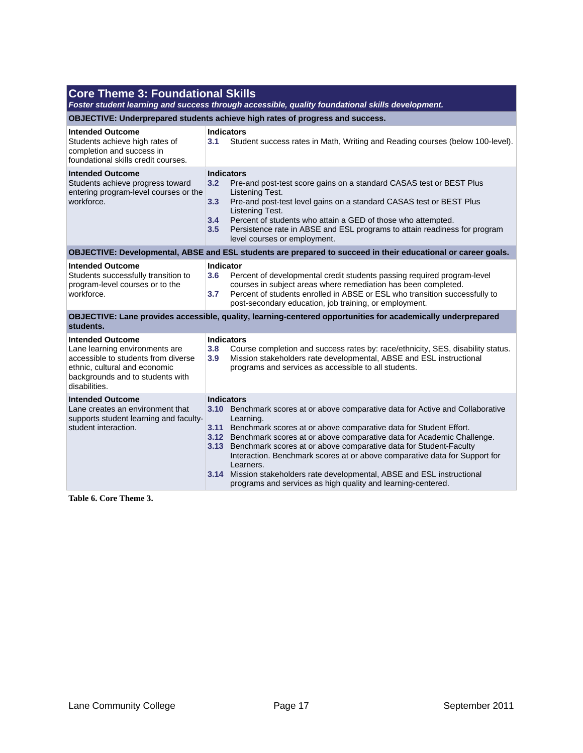## **Core Theme 3: Foundational Skills**

*Foster student learning and success through accessible, quality foundational skills development.*

**OBJECTIVE: Underprepared students achieve high rates of progress and success.**

| <b>Intended Outcome</b><br>Students achieve high rates of<br>completion and success in<br>foundational skills credit courses.                                                          | <b>Indicators</b><br>3.1<br>Student success rates in Math, Writing and Reading courses (below 100-level).                                                                                                                                                                                                                                                                                                                                                                                                                                                                                     |  |
|----------------------------------------------------------------------------------------------------------------------------------------------------------------------------------------|-----------------------------------------------------------------------------------------------------------------------------------------------------------------------------------------------------------------------------------------------------------------------------------------------------------------------------------------------------------------------------------------------------------------------------------------------------------------------------------------------------------------------------------------------------------------------------------------------|--|
| <b>Intended Outcome</b><br>Students achieve progress toward<br>entering program-level courses or the<br>workforce.                                                                     | <b>Indicators</b><br>3.2<br>Pre-and post-test score gains on a standard CASAS test or BEST Plus<br>Listening Test.<br>3.3<br>Pre-and post-test level gains on a standard CASAS test or BEST Plus<br>Listening Test.<br>3.4<br>Percent of students who attain a GED of those who attempted.<br>Persistence rate in ABSE and ESL programs to attain readiness for program<br>3.5<br>level courses or employment.                                                                                                                                                                                |  |
|                                                                                                                                                                                        | OBJECTIVE: Developmental, ABSE and ESL students are prepared to succeed in their educational or career goals.                                                                                                                                                                                                                                                                                                                                                                                                                                                                                 |  |
| <b>Intended Outcome</b><br>Students successfully transition to<br>program-level courses or to the<br>workforce.                                                                        | Indicator<br>Percent of developmental credit students passing required program-level<br>3.6<br>courses in subject areas where remediation has been completed.<br>Percent of students enrolled in ABSE or ESL who transition successfully to<br>3.7<br>post-secondary education, job training, or employment.                                                                                                                                                                                                                                                                                  |  |
| students.                                                                                                                                                                              | OBJECTIVE: Lane provides accessible, quality, learning-centered opportunities for academically underprepared                                                                                                                                                                                                                                                                                                                                                                                                                                                                                  |  |
| <b>Intended Outcome</b><br>Lane learning environments are<br>accessible to students from diverse<br>ethnic, cultural and economic<br>backgrounds and to students with<br>disabilities. | <b>Indicators</b><br>3.8<br>Course completion and success rates by: race/ethnicity, SES, disability status.<br>3.9<br>Mission stakeholders rate developmental, ABSE and ESL instructional<br>programs and services as accessible to all students.                                                                                                                                                                                                                                                                                                                                             |  |
| <b>Intended Outcome</b><br>Lane creates an environment that<br>supports student learning and faculty-<br>student interaction.                                                          | <b>Indicators</b><br>3.10 Benchmark scores at or above comparative data for Active and Collaborative<br>Learning.<br>3.11 Benchmark scores at or above comparative data for Student Effort.<br>3.12 Benchmark scores at or above comparative data for Academic Challenge.<br>3.13 Benchmark scores at or above comparative data for Student-Faculty<br>Interaction. Benchmark scores at or above comparative data for Support for<br>Learners.<br>Mission stakeholders rate developmental, ABSE and ESL instructional<br>3.14<br>programs and services as high quality and learning-centered. |  |

**Table 6. Core Theme 3.**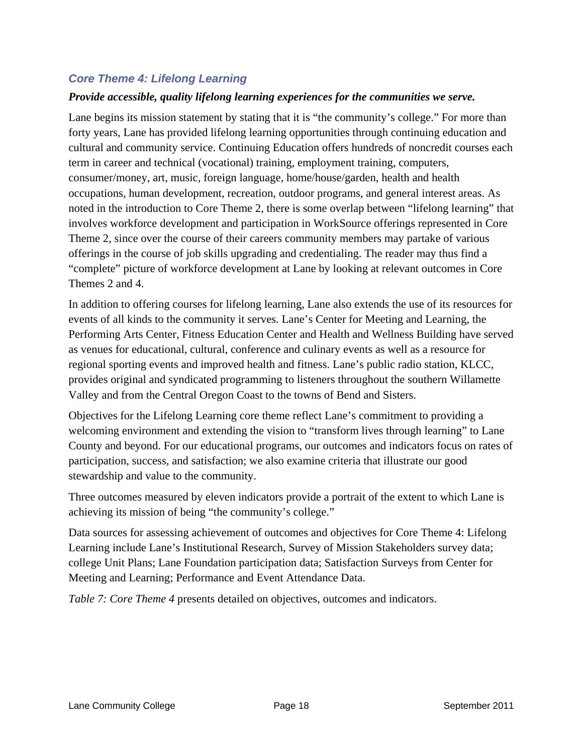## <span id="page-21-0"></span>*Core Theme 4: Lifelong Learning*

#### *Provide accessible, quality lifelong learning experiences for the communities we serve.*

Lane begins its mission statement by stating that it is "the community's college." For more than forty years, Lane has provided lifelong learning opportunities through continuing education and cultural and community service. Continuing Education offers hundreds of noncredit courses each term in career and technical (vocational) training, employment training, computers, consumer/money, art, music, foreign language, home/house/garden, health and health occupations, human development, recreation, outdoor programs, and general interest areas. As noted in the introduction to Core Theme 2, there is some overlap between "lifelong learning" that involves workforce development and participation in WorkSource offerings represented in Core Theme 2, since over the course of their careers community members may partake of various offerings in the course of job skills upgrading and credentialing. The reader may thus find a "complete" picture of workforce development at Lane by looking at relevant outcomes in Core Themes 2 and 4.

In addition to offering courses for lifelong learning, Lane also extends the use of its resources for events of all kinds to the community it serves. Lane's Center for Meeting and Learning, the Performing Arts Center, Fitness Education Center and Health and Wellness Building have served as venues for educational, cultural, conference and culinary events as well as a resource for regional sporting events and improved health and fitness. Lane's public radio station, KLCC, provides original and syndicated programming to listeners throughout the southern Willamette Valley and from the Central Oregon Coast to the towns of Bend and Sisters.

Objectives for the Lifelong Learning core theme reflect Lane's commitment to providing a welcoming environment and extending the vision to "transform lives through learning" to Lane County and beyond. For our educational programs, our outcomes and indicators focus on rates of participation, success, and satisfaction; we also examine criteria that illustrate our good stewardship and value to the community.

Three outcomes measured by eleven indicators provide a portrait of the extent to which Lane is achieving its mission of being "the community's college."

Data sources for assessing achievement of outcomes and objectives for Core Theme 4: Lifelong Learning include Lane's Institutional Research, Survey of Mission Stakeholders survey data; college Unit Plans; Lane Foundation participation data; Satisfaction Surveys from Center for Meeting and Learning; Performance and Event Attendance Data.

*Table 7: Core Theme 4* presents detailed on objectives, outcomes and indicators.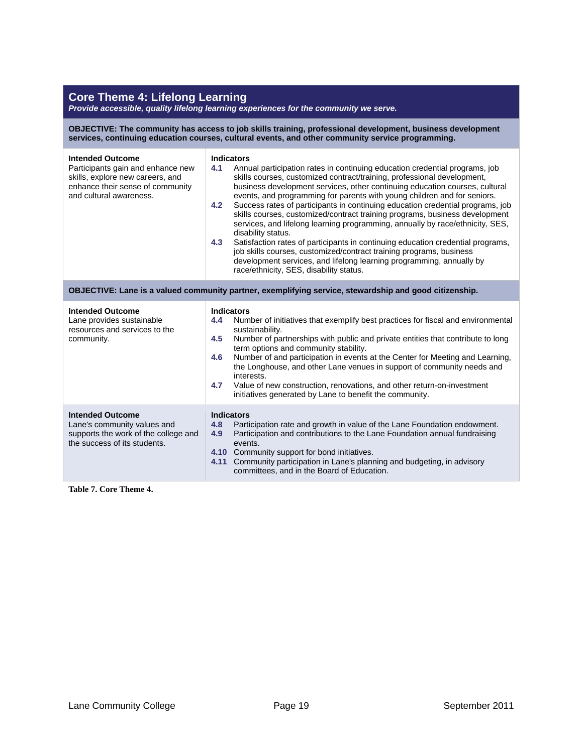#### **Core Theme 4: Lifelong Learning**

*Provide accessible, quality lifelong learning experiences for the community we serve.*

**OBJECTIVE: The community has access to job skills training, professional development, business development services, continuing education courses, cultural events, and other community service programming.**

| <b>Intended Outcome</b><br>Participants gain and enhance new<br>skills, explore new careers, and<br>enhance their sense of community<br>and cultural awareness. | <b>Indicators</b><br>4.1<br>Annual participation rates in continuing education credential programs, job<br>skills courses, customized contract/training, professional development,<br>business development services, other continuing education courses, cultural<br>events, and programming for parents with young children and for seniors.<br>Success rates of participants in continuing education credential programs, job<br>4.2<br>skills courses, customized/contract training programs, business development<br>services, and lifelong learning programming, annually by race/ethnicity, SES,<br>disability status.<br>4.3<br>Satisfaction rates of participants in continuing education credential programs,<br>job skills courses, customized/contract training programs, business<br>development services, and lifelong learning programming, annually by<br>race/ethnicity, SES, disability status. |  |  |  |
|-----------------------------------------------------------------------------------------------------------------------------------------------------------------|------------------------------------------------------------------------------------------------------------------------------------------------------------------------------------------------------------------------------------------------------------------------------------------------------------------------------------------------------------------------------------------------------------------------------------------------------------------------------------------------------------------------------------------------------------------------------------------------------------------------------------------------------------------------------------------------------------------------------------------------------------------------------------------------------------------------------------------------------------------------------------------------------------------|--|--|--|
| OBJECTIVE: Lane is a valued community partner, exemplifying service, stewardship and good citizenship.                                                          |                                                                                                                                                                                                                                                                                                                                                                                                                                                                                                                                                                                                                                                                                                                                                                                                                                                                                                                  |  |  |  |
| <b>Intended Outcome</b><br>Lane provides sustainable<br>resources and services to the<br>community.                                                             | <b>Indicators</b><br>Number of initiatives that exemplify best practices for fiscal and environmental<br>4.4<br>sustainability.<br>4.5<br>Number of partnerships with public and private entities that contribute to long<br>term options and community stability.<br>Number of and participation in events at the Center for Meeting and Learning,<br>4.6<br>the Longhouse, and other Lane venues in support of community needs and<br>interests.<br>Value of new construction, renovations, and other return-on-investment<br>4.7<br>initiatives generated by Lane to benefit the community.                                                                                                                                                                                                                                                                                                                   |  |  |  |
| <b>Intended Outcome</b><br>Lane's community values and<br>supports the work of the college and<br>the success of its students.                                  | <b>Indicators</b><br>Participation rate and growth in value of the Lane Foundation endowment.<br>4.8<br>Participation and contributions to the Lane Foundation annual fundraising<br>4.9<br>events.<br>4.10 Community support for bond initiatives.<br>Community participation in Lane's planning and budgeting, in advisory<br>4.11<br>committees, and in the Board of Education.                                                                                                                                                                                                                                                                                                                                                                                                                                                                                                                               |  |  |  |

**Table 7. Core Theme 4.**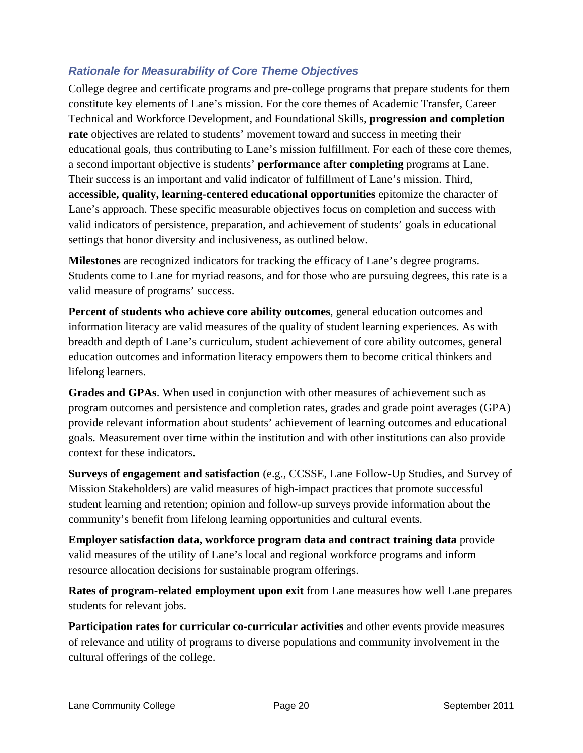## <span id="page-23-0"></span>*Rationale for Measurability of Core Theme Objectives*

College degree and certificate programs and pre-college programs that prepare students for them constitute key elements of Lane's mission. For the core themes of Academic Transfer, Career Technical and Workforce Development, and Foundational Skills, **progression and completion rate** objectives are related to students' movement toward and success in meeting their educational goals, thus contributing to Lane's mission fulfillment. For each of these core themes, a second important objective is students' **performance after completing** programs at Lane. Their success is an important and valid indicator of fulfillment of Lane's mission. Third, **accessible, quality, learning-centered educational opportunities** epitomize the character of Lane's approach. These specific measurable objectives focus on completion and success with valid indicators of persistence, preparation, and achievement of students' goals in educational settings that honor diversity and inclusiveness, as outlined below.

**Milestones** are recognized indicators for tracking the efficacy of Lane's degree programs. Students come to Lane for myriad reasons, and for those who are pursuing degrees, this rate is a valid measure of programs' success.

**Percent of students who achieve core ability outcomes**, general education outcomes and information literacy are valid measures of the quality of student learning experiences. As with breadth and depth of Lane's curriculum, student achievement of core ability outcomes, general education outcomes and information literacy empowers them to become critical thinkers and lifelong learners.

**Grades and GPAs**. When used in conjunction with other measures of achievement such as program outcomes and persistence and completion rates, grades and grade point averages (GPA) provide relevant information about students' achievement of learning outcomes and educational goals. Measurement over time within the institution and with other institutions can also provide context for these indicators.

**Surveys of engagement and satisfaction** (e.g., CCSSE, Lane Follow-Up Studies, and Survey of Mission Stakeholders) are valid measures of high-impact practices that promote successful student learning and retention; opinion and follow-up surveys provide information about the community's benefit from lifelong learning opportunities and cultural events.

**Employer satisfaction data, workforce program data and contract training data** provide valid measures of the utility of Lane's local and regional workforce programs and inform resource allocation decisions for sustainable program offerings.

**Rates of program-related employment upon exit** from Lane measures how well Lane prepares students for relevant jobs.

**Participation rates for curricular co-curricular activities** and other events provide measures of relevance and utility of programs to diverse populations and community involvement in the cultural offerings of the college.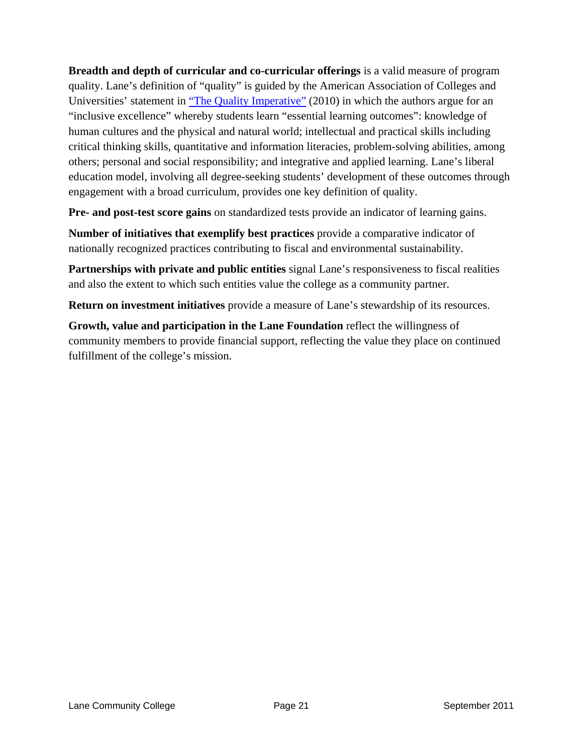**Breadth and depth of curricular and co-curricular offerings** is a valid measure of program quality. Lane's definition of "quality" is guided by the American Association of Colleges and Universities' statement in ["The Quality Imperative"](http://www.aacu.org/about/statements/documents/Quality_Imperative_2010.pdf) (2010) in which the authors argue for an "inclusive excellence" whereby students learn "essential learning outcomes": knowledge of human cultures and the physical and natural world; intellectual and practical skills including critical thinking skills, quantitative and information literacies, problem-solving abilities, among others; personal and social responsibility; and integrative and applied learning. Lane's liberal education model, involving all degree-seeking students' development of these outcomes through engagement with a broad curriculum, provides one key definition of quality.

**Pre- and post-test score gains** on standardized tests provide an indicator of learning gains.

**Number of initiatives that exemplify best practices** provide a comparative indicator of nationally recognized practices contributing to fiscal and environmental sustainability.

**Partnerships with private and public entities** signal Lane's responsiveness to fiscal realities and also the extent to which such entities value the college as a community partner.

**Return on investment initiatives** provide a measure of Lane's stewardship of its resources.

**Growth, value and participation in the Lane Foundation** reflect the willingness of community members to provide financial support, reflecting the value they place on continued fulfillment of the college's mission.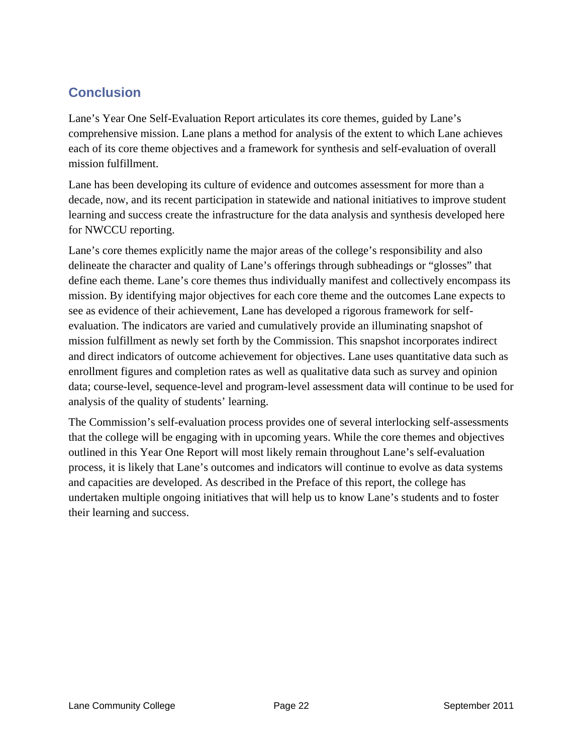# <span id="page-25-0"></span>**Conclusion**

Lane's Year One Self-Evaluation Report articulates its core themes, guided by Lane's comprehensive mission. Lane plans a method for analysis of the extent to which Lane achieves each of its core theme objectives and a framework for synthesis and self-evaluation of overall mission fulfillment.

Lane has been developing its culture of evidence and outcomes assessment for more than a decade, now, and its recent participation in statewide and national initiatives to improve student learning and success create the infrastructure for the data analysis and synthesis developed here for NWCCU reporting.

Lane's core themes explicitly name the major areas of the college's responsibility and also delineate the character and quality of Lane's offerings through subheadings or "glosses" that define each theme. Lane's core themes thus individually manifest and collectively encompass its mission. By identifying major objectives for each core theme and the outcomes Lane expects to see as evidence of their achievement, Lane has developed a rigorous framework for selfevaluation. The indicators are varied and cumulatively provide an illuminating snapshot of mission fulfillment as newly set forth by the Commission. This snapshot incorporates indirect and direct indicators of outcome achievement for objectives. Lane uses quantitative data such as enrollment figures and completion rates as well as qualitative data such as survey and opinion data; course-level, sequence-level and program-level assessment data will continue to be used for analysis of the quality of students' learning.

The Commission's self-evaluation process provides one of several interlocking self-assessments that the college will be engaging with in upcoming years. While the core themes and objectives outlined in this Year One Report will most likely remain throughout Lane's self-evaluation process, it is likely that Lane's outcomes and indicators will continue to evolve as data systems and capacities are developed. As described in the Preface of this report, the college has undertaken multiple ongoing initiatives that will help us to know Lane's students and to foster their learning and success.